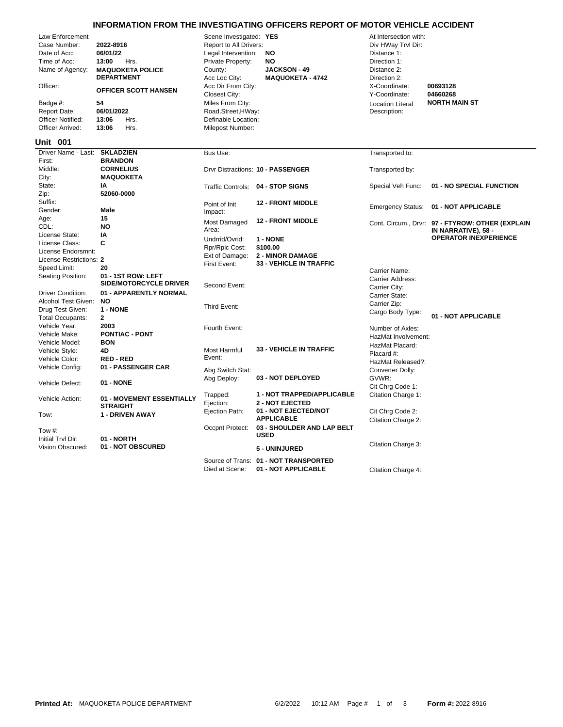|                          |                               |                                     | INFORMATION FROM THE INVESTIGATING OFFICERS REPORT OF MOTOR VEHICLE ACCIDENT |                                |                                                     |
|--------------------------|-------------------------------|-------------------------------------|------------------------------------------------------------------------------|--------------------------------|-----------------------------------------------------|
| <b>Law Enforcement</b>   |                               | Scene Investigated: YES             |                                                                              | At Intersection with:          |                                                     |
| Case Number:             | 2022-8916                     | Report to All Drivers:              |                                                                              | Div HWay Trvl Dir:             |                                                     |
| Date of Acc:             | 06/01/22                      | Legal Intervention:                 | <b>NO</b>                                                                    | Distance 1:                    |                                                     |
| Time of Acc:             | 13:00<br>Hrs.                 | Private Property:                   | <b>NO</b>                                                                    | Direction 1:                   |                                                     |
| Name of Agency:          | <b>MAQUOKETA POLICE</b>       | County:                             | <b>JACKSON - 49</b>                                                          | Distance 2:                    |                                                     |
|                          | <b>DEPARTMENT</b>             | Acc Loc City:                       | <b>MAQUOKETA - 4742</b>                                                      | Direction 2:                   |                                                     |
| Officer:                 | <b>OFFICER SCOTT HANSEN</b>   | Acc Dir From City:<br>Closest City: |                                                                              | X-Coordinate:<br>Y-Coordinate: | 00693128<br>04660268                                |
| Badge #:                 | 54                            | Miles From City:                    |                                                                              | <b>Location Literal</b>        | <b>NORTH MAIN ST</b>                                |
| Report Date:             | 06/01/2022                    | Road, Street, HWay:                 |                                                                              | Description:                   |                                                     |
| <b>Officer Notified:</b> | 13:06<br>Hrs.                 | Definable Location:                 |                                                                              |                                |                                                     |
| Officer Arrived:         | 13:06<br>Hrs.                 | Milepost Number:                    |                                                                              |                                |                                                     |
| <b>Unit 001</b>          |                               |                                     |                                                                              |                                |                                                     |
| Driver Name - Last:      | <b>SKLADZIEN</b>              | Bus Use:                            |                                                                              | Transported to:                |                                                     |
| First:                   | <b>BRANDON</b>                |                                     |                                                                              |                                |                                                     |
| Middle:                  | <b>CORNELIUS</b>              |                                     | Drvr Distractions: 10 - PASSENGER                                            | Transported by:                |                                                     |
| City:                    | <b>MAQUOKETA</b>              |                                     |                                                                              |                                |                                                     |
| State:                   | IA                            |                                     | Traffic Controls: 04 - STOP SIGNS                                            | Special Veh Func:              | 01 - NO SPECIAL FUNCTION                            |
| Zip:                     | 52060-0000                    |                                     |                                                                              |                                |                                                     |
| Suffix:                  |                               | Point of Init                       | <b>12 - FRONT MIDDLE</b>                                                     |                                |                                                     |
| Gender:                  | Male                          | Impact:                             |                                                                              | <b>Emergency Status:</b>       | 01 - NOT APPLICABLE                                 |
| Age:                     | 15                            |                                     | <b>12 - FRONT MIDDLE</b>                                                     |                                |                                                     |
| CDL:                     | <b>NO</b>                     | Most Damaged<br>Area:               |                                                                              |                                | Cont. Circum., Drvr: 97 - FTYROW: OTHER (EXPLAIN    |
| License State:           | IA                            |                                     |                                                                              |                                | IN NARRATIVE), 58 -<br><b>OPERATOR INEXPERIENCE</b> |
| License Class:           | C                             | Undrrid/Ovrid:                      | 1 - NONE                                                                     |                                |                                                     |
| License Endorsmnt:       |                               | Rpr/Rplc Cost:                      | \$100.00                                                                     |                                |                                                     |
| License Restrictions: 2  |                               | Ext of Damage:                      | <b>2 - MINOR DAMAGE</b>                                                      |                                |                                                     |
| Speed Limit:             | 20                            | First Event:                        | <b>33 - VEHICLE IN TRAFFIC</b>                                               |                                |                                                     |
| Seating Position:        | 01 - 1ST ROW: LEFT            |                                     |                                                                              | Carrier Name:                  |                                                     |
|                          | <b>SIDE/MOTORCYCLE DRIVER</b> | Second Event:                       |                                                                              | Carrier Address:               |                                                     |
| <b>Driver Condition:</b> | 01 - APPARENTLY NORMAL        |                                     |                                                                              | Carrier City:                  |                                                     |
| Alcohol Test Given:      | <b>NO</b>                     |                                     |                                                                              | Carrier State:                 |                                                     |
| Drug Test Given:         | 1 - NONE                      | Third Event:                        |                                                                              | Carrier Zip:                   |                                                     |
| <b>Total Occupants:</b>  | $\mathbf{2}$                  |                                     |                                                                              | Cargo Body Type:               | 01 - NOT APPLICABLE                                 |
| Vehicle Year:            | 2003                          |                                     |                                                                              |                                |                                                     |
| Vehicle Make:            | <b>PONTIAC - PONT</b>         | Fourth Event:                       |                                                                              | Number of Axles:               |                                                     |
| Vehicle Model:           | <b>BON</b>                    |                                     |                                                                              | HazMat Involvement:            |                                                     |
|                          |                               | Most Harmful                        | <b>33 - VEHICLE IN TRAFFIC</b>                                               | HazMat Placard:                |                                                     |
| Vehicle Style:           | 4D                            | Event:                              |                                                                              | Placard #:                     |                                                     |
| Vehicle Color:           | <b>RED - RED</b>              |                                     |                                                                              | HazMat Released?:              |                                                     |
| Vehicle Config:          | 01 - PASSENGER CAR            | Abg Switch Stat:                    |                                                                              | Converter Dolly:               |                                                     |
|                          |                               | Abg Deploy:                         | 03 - NOT DEPLOYED                                                            | GVWR:                          |                                                     |
| Vehicle Defect:          | 01 - NONE                     |                                     |                                                                              | Cit Chrg Code 1:               |                                                     |
|                          | 01 - MOVEMENT ESSENTIALLY     | Trapped:                            | 1 - NOT TRAPPED/APPLICABLE                                                   | Citation Charge 1:             |                                                     |
| Vehicle Action:          | <b>STRAIGHT</b>               | Ejection:                           | <b>2 - NOT EJECTED</b>                                                       |                                |                                                     |
|                          | <b>1 - DRIVEN AWAY</b>        | Ejection Path:                      | 01 - NOT EJECTED/NOT                                                         | Cit Chrg Code 2:               |                                                     |
| Tow:                     |                               |                                     | <b>APPLICABLE</b>                                                            | Citation Charge 2:             |                                                     |
| Tow $#$ :                |                               | Occpnt Protect:                     | 03 - SHOULDER AND LAP BELT                                                   |                                |                                                     |
|                          |                               |                                     | <b>USED</b>                                                                  |                                |                                                     |
| Initial Tryl Dir:        | 01 - NORTH                    |                                     |                                                                              | Citation Charge 3:             |                                                     |
| Vision Obscured:         | 01 - NOT OBSCURED             |                                     | 5 - UNINJURED                                                                |                                |                                                     |

Source of Trans: **01 - NOT TRANSPORTED**

Died at Scene: **01 - NOT APPLICABLE** Citation Charge 4: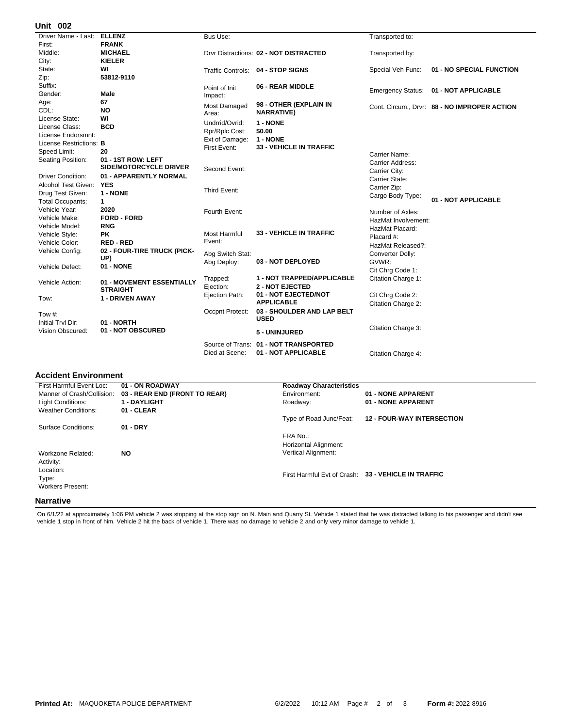## **002 Unit**

| UIIIL VV <del>L</del>          |                                 |                     |                                        |                          |                                            |
|--------------------------------|---------------------------------|---------------------|----------------------------------------|--------------------------|--------------------------------------------|
| Driver Name - Last:            | <b>ELLENZ</b>                   | Bus Use:            |                                        | Transported to:          |                                            |
| First:                         | <b>FRANK</b>                    |                     |                                        |                          |                                            |
| Middle:                        | <b>MICHAEL</b>                  |                     | Drvr Distractions: 02 - NOT DISTRACTED | Transported by:          |                                            |
| City:                          | <b>KIELER</b>                   |                     |                                        |                          |                                            |
| State:                         | WI                              |                     | Traffic Controls: 04 - STOP SIGNS      | Special Veh Func:        | 01 - NO SPECIAL FUNCTION                   |
| Zip:                           | 53812-9110                      |                     |                                        |                          |                                            |
| Suffix:                        |                                 | Point of Init       | 06 - REAR MIDDLE                       | <b>Emergency Status:</b> | 01 - NOT APPLICABLE                        |
| Gender:                        | <b>Male</b>                     | Impact:             |                                        |                          |                                            |
| Age:                           | 67                              | Most Damaged        | 98 - OTHER (EXPLAIN IN                 |                          | Cont. Circum Drvr: 88 - NO IMPROPER ACTION |
| CDL:                           | <b>NO</b>                       | Area:               | <b>NARRATIVE)</b>                      |                          |                                            |
| License State:                 | WI                              | Undrrid/Ovrid:      | 1 - NONE                               |                          |                                            |
| License Class:                 | <b>BCD</b>                      | Rpr/Rplc Cost:      | \$0.00                                 |                          |                                            |
| License Endorsmnt:             |                                 | Ext of Damage:      | 1 - NONE                               |                          |                                            |
| License Restrictions: <b>B</b> |                                 | First Event:        | <b>33 - VEHICLE IN TRAFFIC</b>         |                          |                                            |
| Speed Limit:                   | 20                              |                     |                                        | Carrier Name:            |                                            |
| Seating Position:              | 01 - 1ST ROW: LEFT              |                     |                                        | Carrier Address:         |                                            |
|                                | <b>SIDE/MOTORCYCLE DRIVER</b>   | Second Event:       |                                        | Carrier City:            |                                            |
| <b>Driver Condition:</b>       | 01 - APPARENTLY NORMAL          |                     |                                        | Carrier State:           |                                            |
| <b>Alcohol Test Given:</b>     | <b>YES</b>                      |                     |                                        | Carrier Zip:             |                                            |
| Drug Test Given:               | 1 - NONE                        | Third Event:        |                                        | Cargo Body Type:         |                                            |
| <b>Total Occupants:</b>        | 1                               |                     |                                        |                          | 01 - NOT APPLICABLE                        |
| Vehicle Year:                  | 2020                            | Fourth Event:       |                                        | Number of Axles:         |                                            |
| Vehicle Make:                  | <b>FORD - FORD</b>              |                     |                                        | HazMat Involvement:      |                                            |
| Vehicle Model:                 | <b>RNG</b>                      |                     |                                        | HazMat Placard:          |                                            |
| Vehicle Style:                 | <b>PK</b>                       | <b>Most Harmful</b> | 33 - VEHICLE IN TRAFFIC                | Placard #:               |                                            |
| Vehicle Color:                 | <b>RED-RED</b>                  | Event:              |                                        | HazMat Released?:        |                                            |
| Vehicle Config:                | 02 - FOUR-TIRE TRUCK (PICK-     | Abg Switch Stat:    |                                        | Converter Dolly:         |                                            |
|                                | UP)                             | Abg Deploy:         | 03 - NOT DEPLOYED                      | GVWR:                    |                                            |
| Vehicle Defect:                | 01 - NONE                       |                     |                                        | Cit Chrg Code 1:         |                                            |
|                                |                                 | Trapped:            | 1 - NOT TRAPPED/APPLICABLE             | Citation Charge 1:       |                                            |
| Vehicle Action:                | 01 - MOVEMENT ESSENTIALLY       | Ejection:           | <b>2 - NOT EJECTED</b>                 |                          |                                            |
|                                | STRAIGHT                        | Ejection Path:      | 01 - NOT EJECTED/NOT                   | Cit Chrq Code 2:         |                                            |
| Tow:                           | <b>1 - DRIVEN AWAY</b>          |                     | <b>APPLICABLE</b>                      | Citation Charge 2:       |                                            |
|                                |                                 | Occpnt Protect:     | 03 - SHOULDER AND LAP BELT             |                          |                                            |
| Tow $#$ :                      |                                 |                     | <b>USED</b>                            |                          |                                            |
| Initial Trvl Dir:              | 01 - NORTH<br>01 - NOT OBSCURED |                     |                                        | Citation Charge 3:       |                                            |
| Vision Obscured:               |                                 |                     | 5 - UNINJURED                          |                          |                                            |
|                                |                                 |                     | Source of Trans: 01 - NOT TRANSPORTED  |                          |                                            |
|                                |                                 | Died at Scene:      | 01 - NOT APPLICABLE                    | Citation Charge 4:       |                                            |
|                                |                                 |                     |                                        |                          |                                            |

## **Accident Environment**

| First Harmful Event Loc:   | 01 - ON ROADWAY               | <b>Roadway Characteristics</b> |                                                     |
|----------------------------|-------------------------------|--------------------------------|-----------------------------------------------------|
| Manner of Crash/Collision: | 03 - REAR END (FRONT TO REAR) | Environment:                   | 01 - NONE APPARENT                                  |
| Light Conditions:          | <b>1 - DAYLIGHT</b>           | Roadway:                       | 01 - NONE APPARENT                                  |
| <b>Weather Conditions:</b> | 01 - CLEAR                    |                                |                                                     |
|                            |                               | Type of Road Junc/Feat:        | <b>12 - FOUR-WAY INTERSECTION</b>                   |
| Surface Conditions:        | 01 - DRY                      |                                |                                                     |
|                            |                               | FRA No.:                       |                                                     |
|                            |                               | Horizontal Alignment:          |                                                     |
| Workzone Related:          | <b>NO</b>                     | Vertical Alignment:            |                                                     |
| Activity:                  |                               |                                |                                                     |
| Location:                  |                               |                                |                                                     |
| Type:                      |                               |                                | First Harmful Evt of Crash: 33 - VEHICLE IN TRAFFIC |
| <b>Workers Present:</b>    |                               |                                |                                                     |
|                            |                               |                                |                                                     |
| <b>Narrative</b>           |                               |                                |                                                     |

On 6/1/22 at approximately 1:06 PM vehicle 2 was stopping at the stop sign on N. Main and Quarry St. Vehicle 1 stated that he was distracted talking to his passenger and didn't see<br>vehicle 1 stop in front of him. Vehicle 2